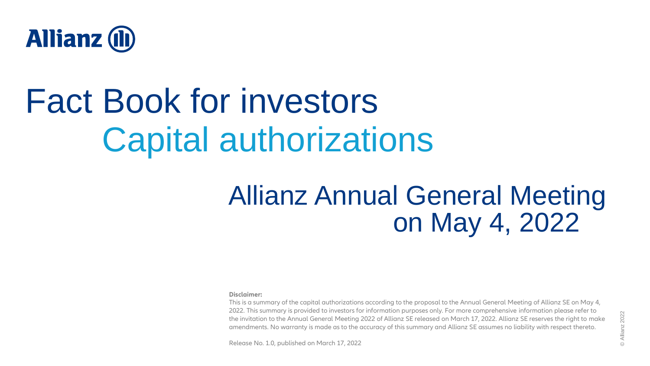

## Fact Book for investors Capital authorizations

### Allianz Annual General Meeting on May 4, 2022

#### **Disclaimer:**

This is a summary of the capital authorizations according to the proposal to the Annual General Meeting of Allianz SE on May 4, 2022. This summary is provided to investors for information purposes only. For more comprehensive information please refer to the invitation to the Annual General Meeting 2022 of Allianz SE released on March 17, 2022. Allianz SE reserves the right to make amendments. No warranty is made as to the accuracy of this summary and Allianz SE assumes no liability with respect thereto.

Release No. 1.0, published on March 17, 2022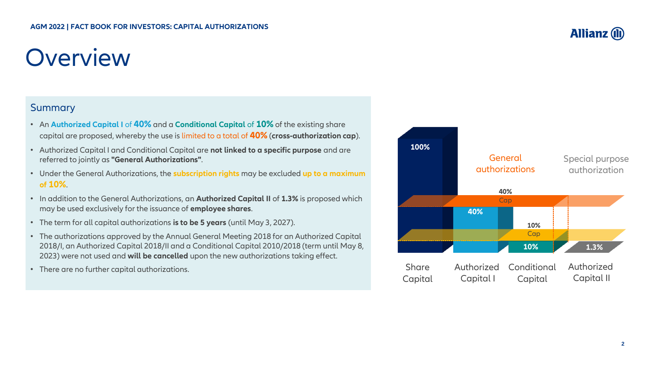### **Overview**

#### **Summary**

- An **Authorized Capital I** of **40%** and a **Conditional Capital** of **10%** of the existing share capital are proposed, whereby the use is limited to a total of **40%** (**cross-authorization cap**).
- Authorized Capital I and Conditional Capital are **not linked to a specific purpose** and are referred to jointly as **"General Authorizations"**.
- Under the General Authorizations, the **subscription rights** may be excluded **up to a maximum of 10%**.
- In addition to the General Authorizations, an **Authorized Capital II** of **1.3%** is proposed which may be used exclusively for the issuance of **employee shares**.
- The term for all capital authorizations **is to be 5 years** (until May 3, 2027).
- The authorizations approved by the Annual General Meeting 2018 for an Authorized Capital 2018/I, an Authorized Capital 2018/II and a Conditional Capital 2010/2018 (term until May 8, 2023) were not used and **will be cancelled** upon the new authorizations taking effect.
- There are no further capital authorizations.



#### **Allianz (II)**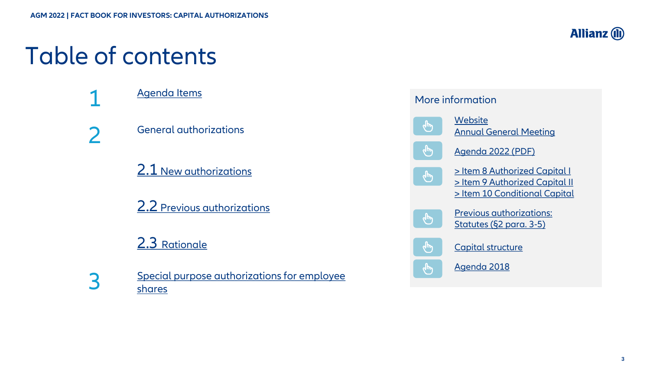### Table of contents





2

General authorizations

2.1 [New authorizations](#page-4-0)

2.2 [Previous authorizations](#page-5-0)

#### 2.3 [Rationale](#page-6-0)

3

[Special purpose authorizations for employee](#page-7-0) shares

#### More information **Website** لسه [Annual General Meeting](https://www.allianz.com/en/investor_relations/shareholders/annual-general-meeting.html) [Agenda 2022 \(PDF\)](https://www.allianz.com/content/dam/onemarketing/azcom/Allianz_com/investor-relations/de/hauptversammlung/dokumentencenter/2022/en-agenda-agm-2022.pdf) ليرا [> Item 8 Authorized Capital I](https://www.allianz.com/en/investor_relations/shareholders/annual-general-meeting/agenda-2022.html#top8)  $\mathbf{r}$ [> Item 9 Authorized Capital II](https://www.allianz.com/en/investor_relations/shareholders/annual-general-meeting/agenda-2022.html#top9) [> Item 10 Conditional Capital](https://www.allianz.com/en/investor_relations/shareholders/annual-general-meeting/agenda-2022.html#top10) Previous authorizations:  $\mathcal{L}_{\mu\nu}$ [Statutes \(§2 para. 3-5\)](https://www.allianz.com/content/dam/onemarketing/azcom/Allianz_com/investor-relations/en/corporate-governance/statutes/en-2111-Allianz-Statutes.pdf) [Capital structure](https://www.allianz.com/en/investor_relations/share/capital-structure.html) תייץ [Agenda 2018](https://www.allianz.com/en/investor_relations/shareholders/annual-general-meeting/agenda-2018.html)

**Allianz (II)**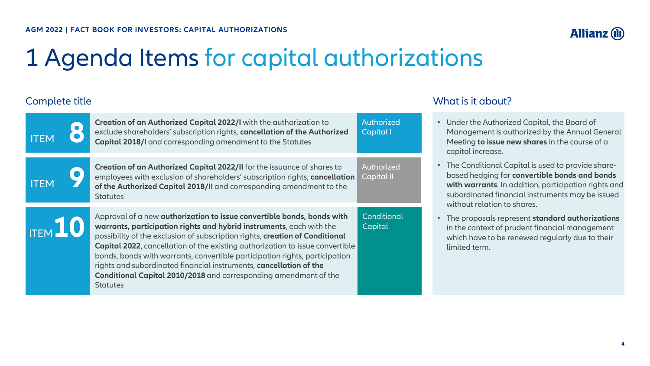

### <span id="page-3-0"></span>1 Agenda Items for capital authorizations

#### Complete title

| <b>ITEM</b>    | Creation of an Authorized Capital 2022/I with the authorization to<br>exclude shareholders' subscription rights, cancellation of the Authorized<br><b>Capital 2018/I</b> and corresponding amendment to the Statutes                                                                                                                                                                                                                                                                                                                                                | Authorized<br>Capital I  |
|----------------|---------------------------------------------------------------------------------------------------------------------------------------------------------------------------------------------------------------------------------------------------------------------------------------------------------------------------------------------------------------------------------------------------------------------------------------------------------------------------------------------------------------------------------------------------------------------|--------------------------|
| <b>ITEM</b>    | Creation of an Authorized Capital 2022/II for the issuance of shares to<br>employees with exclusion of shareholders' subscription rights, cancellation<br>of the Authorized Capital 2018/II and corresponding amendment to the<br><b>Statutes</b>                                                                                                                                                                                                                                                                                                                   | Authorized<br>Capital II |
| <b>ITEM</b> 10 | Approval of a new authorization to issue convertible bonds, bonds with<br>warrants, participation rights and hybrid instruments, each with the<br>possibility of the exclusion of subscription rights, creation of Conditional<br><b>Capital 2022</b> , cancellation of the existing authorization to issue convertible<br>bonds, bonds with warrants, convertible participation rights, participation<br>rights and subordinated financial instruments, cancellation of the<br>Conditional Capital 2010/2018 and corresponding amendment of the<br><b>Statutes</b> | Conditional<br>Capital   |

#### What is it about?

- Under the Authorized Capital, the Board of Management is authorized by the Annual General Meeting **to issue new shares** in the course of a capital increase.
- The Conditional Capital is used to provide sharebased hedging for **convertible bonds and bonds with warrants**. In addition, participation rights and subordinated financial instruments may be issued without relation to shares.
- The proposals represent **standard authorizations**  in the context of prudent financial management which have to be renewed regularly due to their limited term.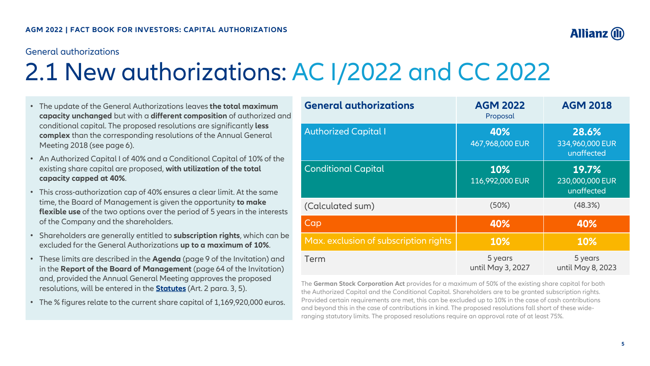#### <span id="page-4-0"></span>General authorizations

### 2.1 New authorizations: AC I/2022 and CC 2022

| <b>General authorizations</b>         | <b>AGM 2022</b><br>Proposal  | <b>AGM 2018</b>                        |
|---------------------------------------|------------------------------|----------------------------------------|
| <b>Authorized Capital I</b>           | 40%<br>467,968,000 EUR       | 28.6%<br>334,960,000 EUR<br>unaffected |
| <b>Conditional Capital</b>            | 10%<br>116,992,000 EUR       | 19.7%<br>230,000,000 EUR<br>unaffected |
| (Calculated sum)                      | (50%)                        | (48.3%)                                |
| Cap                                   | 40%                          | 40%                                    |
| Max. exclusion of subscription rights | 10%                          | 10%                                    |
| Term                                  | 5 years<br>until May 3, 2027 | 5 years<br>until May 8, 2023           |

The **German Stock Corporation Act** provides for a maximum of 50% of the existing share capital for both the Authorized Capital and the Conditional Capital. Shareholders are to be granted subscription rights. Provided certain requirements are met, this can be excluded up to 10% in the case of cash contributions and beyond this in the case of contributions in kind. The proposed resolutions fall short of these wideranging statutory limits. The proposed resolutions require an approval rate of at least 75%.

- The update of the General Authorizations leaves **the total maximum capacity unchanged** but with a **different composition** of authorized and conditional capital. The proposed resolutions are significantly **less complex** than the corresponding resolutions of the Annual General Meeting 2018 (see page 6).
- An Authorized Capital I of 40% and a Conditional Capital of 10% of the existing share capital are proposed, **with utilization of the total capacity capped at 40%**.
- This cross-authorization cap of 40% ensures a clear limit. At the same time, the Board of Management is given the opportunity **to make flexible use** of the two options over the period of 5 years in the interests of the Company and the shareholders.
- Shareholders are generally entitled to **subscription rights**, which can be excluded for the General Authorizations **up to a maximum of 10%**.
- These limits are described in the **Agenda** (page 9 of the Invitation) and in the **Report of the Board of Management** (page 64 of the Invitation) and, provided the Annual General Meeting approves the proposed resolutions, will be entered in the **[Statutes](https://www.allianz.com/content/dam/onemarketing/azcom/Allianz_com/investor-relations/en/corporate-governance/statutes/en-2111-Allianz-Statutes.pdf)** (Art. 2 para. 3, 5).
- The % figures relate to the current share capital of 1,169,920,000 euros.

**Allianz (II**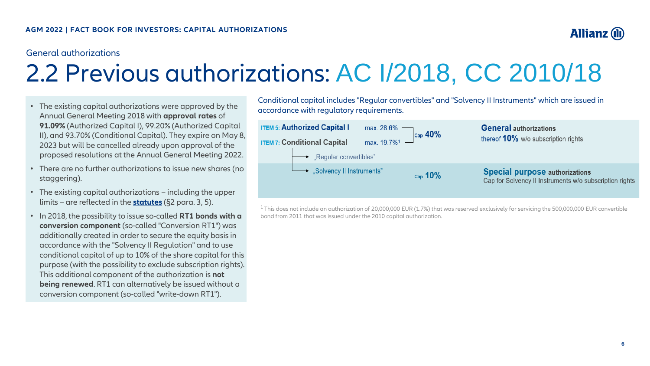

#### <span id="page-5-0"></span>General authorizations

### 2.2 Previous authorizations: AC I/2018, CC 2010/18

- The existing capital authorizations were approved by the Annual General Meeting 2018 with **approval rates** of **91.09%** (Authorized Capital I), 99.20% (Authorized Capital II), and 93.70% (Conditional Capital). They expire on May 8, 2023 but will be cancelled already upon approval of the proposed resolutions at the Annual General Meeting 2022.
- There are no further authorizations to issue new shares (no staggering).
- The existing capital authorizations including the upper limits – are reflected in the **[statutes](https://www.allianz.com/content/dam/onemarketing/azcom/Allianz_com/investor-relations/en/corporate-governance/statutes/en-2111-Allianz-Statutes.pdf)** (§2 para. 3, 5).
- In 2018, the possibility to issue so-called **RT1 bonds with a conversion component** (so-called "Conversion RT1") was additionally created in order to secure the equity basis in accordance with the "Solvency II Regulation" and to use conditional capital of up to 10% of the share capital for this purpose (with the possibility to exclude subscription rights). This additional component of the authorization is **not being renewed**. RT1 can alternatively be issued without a conversion component (so-called "write-down RT1").

Conditional capital includes "Regular convertibles" and "Solvency II Instruments" which are issued in accordance with regulatory requirements.

| <b>TEM 5: Authorized Capital I</b>      | max. 28.6% $\rightarrow$<br>$\vert_{\text{Cap}}$ 40% | <b>General authorizations</b>                                                                    |
|-----------------------------------------|------------------------------------------------------|--------------------------------------------------------------------------------------------------|
| <b>TEM 7: Conditional Capital</b>       | $\frac{3}{2}$ max. 19.7% <sup>1</sup>                | thereof 10% w/o subscription rights                                                              |
| $\rightarrow$ "Regular convertibles"    |                                                      |                                                                                                  |
| $\rightarrow$ "Solvency II Instruments" | $_{\text{Cap}}$ 10%                                  | <b>Special purpose authorizations</b><br>Cap for Solvency II Instruments w/o subscription rights |

 $1$ This does not include an authorization of 20,000,000 EUR (1.7%) that was reserved exclusively for servicing the 500,000,000 EUR convertible bond from 2011 that was issued under the 2010 capital authorization.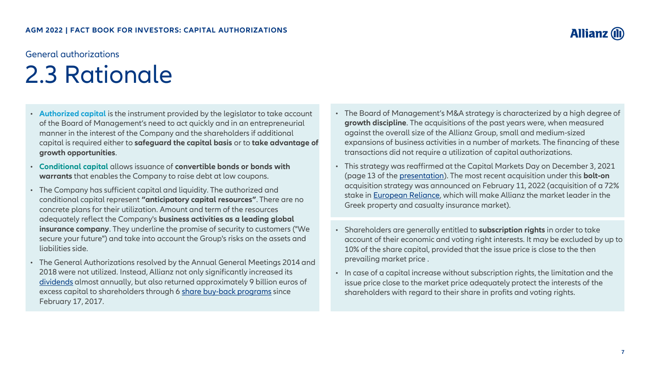### <span id="page-6-0"></span>General authorizations 2.3 Rationale

- **Authorized capital** is the instrument provided by the legislator to take account of the Board of Management's need to act quickly and in an entrepreneurial manner in the interest of the Company and the shareholders if additional capital is required either to **safeguard the capital basis** or to **take advantage of growth opportunities**.
- **Conditional capital** allows issuance of **convertible bonds or bonds with warrants** that enables the Company to raise debt at low coupons.
- The Company has sufficient capital and liquidity. The authorized and conditional capital represent **"anticipatory capital resources"**. There are no concrete plans for their utilization. Amount and term of the resources adequately reflect the Company's **business activities as a leading global insurance company**. They underline the promise of security to customers ("We secure your future") and take into account the Group's risks on the assets and liabilities side.
- The General Authorizations resolved by the Annual General Meetings 2014 and 2018 were not utilized. Instead, Allianz not only significantly increased its [dividends](https://www.allianz.com/en/investor_relations/share/dividend.html#policy) almost annually, but also returned approximately 9 billion euros of excess capital to shareholders through 6 [share buy-back programs](https://www.allianz.com/en/investor_relations/share/share-buy-back.html) since February 17, 2017.
- The Board of Management's M&A strategy is characterized by a high degree of **growth discipline**. The acquisitions of the past years were, when measured against the overall size of the Allianz Group, small and medium-sized expansions of business activities in a number of markets. The financing of these transactions did not require a utilization of capital authorizations.
- This strategy was reaffirmed at the Capital Markets Day on December 3, 2021 (page 13 of the [presentation\)](https://www.allianz.com/content/dam/onemarketing/azcom/Allianz_com/investor-relations/en/conferences/capital_markets_days/2021/21-12-03-presentations-cmd.pdf#page=13). The most recent acquisition under this **bolt-on** acquisition strategy was announced on February 11, 2022 (acquisition of a 72% stake in [European Reliance,](https://www.allianz.com/de/investor_relations/mitteilungen/ir-meldungen/220211.html) which will make Allianz the market leader in the Greek property and casualty insurance market).
- Shareholders are generally entitled to **subscription rights** in order to take account of their economic and voting right interests. It may be excluded by up to 10% of the share capital, provided that the issue price is close to the then prevailing market price .
- In case of a capital increase without subscription rights, the limitation and the issue price close to the market price adequately protect the interests of the shareholders with regard to their share in profits and voting rights.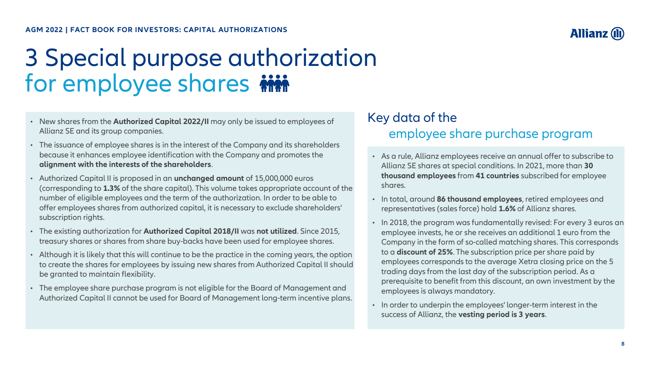<span id="page-7-0"></span>**AGM 2022 | FACT BOOK FOR INVESTORS: CAPITAL AUTHORIZATIONS**

### 3 Special purpose authorization for employee shares in

- New shares from the **Authorized Capital 2022/II** may only be issued to employees of Allianz SE and its group companies.
- The issuance of employee shares is in the interest of the Company and its shareholders because it enhances employee identification with the Company and promotes the **alignment with the interests of the shareholders**.
- Authorized Capital II is proposed in an **unchanged amount** of 15,000,000 euros (corresponding to **1.3%** of the share capital). This volume takes appropriate account of the number of eligible employees and the term of the authorization. In order to be able to offer employees shares from authorized capital, it is necessary to exclude shareholders' subscription rights.
- The existing authorization for **Authorized Capital 2018/II** was **not utilized**. Since 2015, treasury shares or shares from share buy-backs have been used for employee shares.
- Although it is likely that this will continue to be the practice in the coming years, the option to create the shares for employees by issuing new shares from Authorized Capital II should be granted to maintain flexibility.
- The employee share purchase program is not eligible for the Board of Management and Authorized Capital II cannot be used for Board of Management long-term incentive plans.

#### Key data of the employee share purchase program

- As a rule, Allianz employees receive an annual offer to subscribe to Allianz SE shares at special conditions. In 2021, more than **30 thousand employees** from **41 countries** subscribed for employee shares.
- In total, around **86 thousand employees**, retired employees and representatives (sales force) hold **1.6%** of Allianz shares.
- In 2018, the program was fundamentally revised: For every 3 euros an employee invests, he or she receives an additional 1 euro from the Company in the form of so-called matching shares. This corresponds to a **discount of 25%**. The subscription price per share paid by employees corresponds to the average Xetra closing price on the 5 trading days from the last day of the subscription period. As a prerequisite to benefit from this discount, an own investment by the employees is always mandatory.
- In order to underpin the employees' longer-term interest in the success of Allianz, the **vesting period is 3 years**.

**Allianz (1**